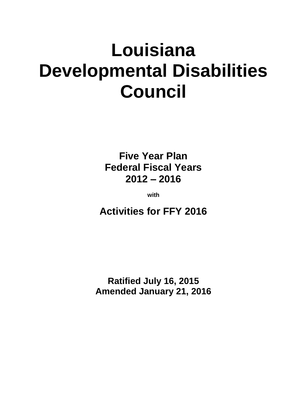# **Louisiana Developmental Disabilities Council**

**Five Year Plan Federal Fiscal Years 2012 – 2016**

**with**

**Activities for FFY 2016**

**Ratified July 16, 2015 Amended January 21, 2016**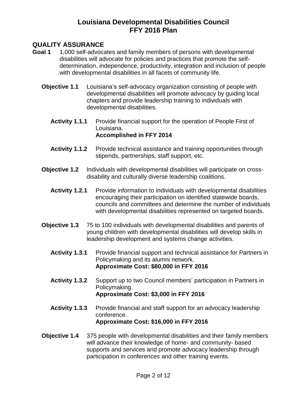#### **QUALITY ASSURANCE**

- **Goal 1** 1,000 self-advocates and family members of persons with developmental disabilities will advocate for policies and practices that promote the selfdetermination, independence, productivity, integration and inclusion of people with developmental disabilities in all facets of community life.
	- **Objective 1.1** Louisiana's self-advocacy organization consisting of people with developmental disabilities will promote advocacy by guiding local chapters and provide leadership training to individuals with developmental disabilities.
		- **Activity 1.1.1** Provide financial support for the operation of People First of Louisiana. **Accomplished in FFY 2014**
		- **Activity 1.1.2** Provide technical assistance and training opportunities through stipends, partnerships, staff support, etc.
	- **Objective 1.2** Individuals with developmental disabilities will participate on crossdisability and culturally diverse leadership coalitions.
		- Activity 1.2.1 Provide information to individuals with developmental disabilities encouraging their participation on identified statewide boards, councils and committees and determine the number of individuals with developmental disabilities represented on targeted boards.
	- **Objective 1.3** 75 to 100 individuals with developmental disabilities and parents of young children with developmental disabilities will develop skills in leadership development and systems change activities.
		- **Activity 1.3.1** Provide financial support and technical assistance for Partners in Policymaking and its alumni network. **Approximate Cost: \$80,000 in FFY 2016**
		- **Activity 1.3.2** Support up to two Council members' participation in Partners in Policymaking. **Approximate Cost: \$3,000 in FFY 2016**
		- **Activity 1.3.3** Provide financial and staff support for an advocacy leadership conference. **Approximate Cost: \$16,000 in FFY 2016**
	- **Objective 1.4** 375 people with developmental disabilities and their family members will advance their knowledge of home- and community- based supports and services and promote advocacy leadership through participation in conferences and other training events.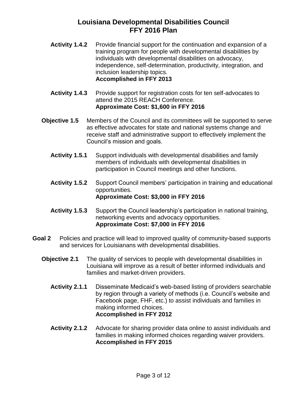- Activity 1.4.2 Provide financial support for the continuation and expansion of a training program for people with developmental disabilities by individuals with developmental disabilities on advocacy, independence, self-determination, productivity, integration, and inclusion leadership topics. **Accomplished in FFY 2013**
- Activity 1.4.3 Provide support for registration costs for ten self-advocates to attend the 2015 REACH Conference. **Approximate Cost: \$1,600 in FFY 2016**
- **Objective 1.5** Members of the Council and its committees will be supported to serve as effective advocates for state and national systems change and receive staff and administrative support to effectively implement the Council's mission and goals.
	- **Activity 1.5.1** Support individuals with developmental disabilities and family members of individuals with developmental disabilities in participation in Council meetings and other functions.
	- **Activity 1.5.2** Support Council members' participation in training and educational opportunities. **Approximate Cost: \$3,000 in FFY 2016**
	- **Activity 1.5.3** Support the Council leadership's participation in national training, networking events and advocacy opportunities. **Approximate Cost: \$7,000 in FFY 2016**
- **Goal 2** Policies and practice will lead to improved quality of community-based supports and services for Louisianans with developmental disabilities.
	- **Objective 2.1** The quality of services to people with developmental disabilities in Louisiana will improve as a result of better informed individuals and families and market-driven providers.
		- **Activity 2.1.1** Disseminate Medicaid's web-based listing of providers searchable by region through a variety of methods (i.e. Council's website and Facebook page, FHF, etc.) to assist individuals and families in making informed choices. **Accomplished in FFY 2012**
		- **Activity 2.1.2** Advocate for sharing provider data online to assist individuals and families in making informed choices regarding waiver providers. **Accomplished in FFY 2015**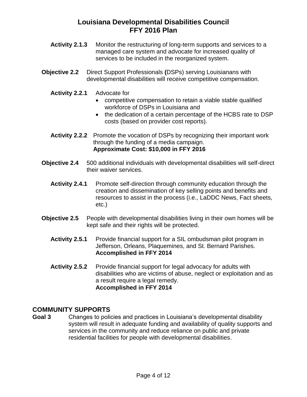- **Activity 2.1.3** Monitor the restructuring of long-term supports and services to a managed care system and advocate for increased quality of services to be included in the reorganized system.
- **Objective 2.2** Direct Support Professionals **(**DSPs) serving Louisianans with developmental disabilities will receive competitive compensation.
	- **Activity 2.2.1** Advocate for
		- competitive compensation to retain a viable stable qualified workforce of DSPs in Louisiana and
		- the dedication of a certain percentage of the HCBS rate to DSP costs (based on provider cost reports).
	- **Activity 2.2.2** Promote the vocation of DSPs by recognizing their important work through the funding of a media campaign. **Approximate Cost: \$10,000 in FFY 2016**
- **Objective 2.4** 500 additional individuals with developmental disabilities will self-direct their waiver services.
	- **Activity 2.4.1** Promote self-direction through community education through the creation and dissemination of key selling points and benefits and resources to assist in the process (i.e., LaDDC News, Fact sheets, etc.)
- **Objective 2.5** People with developmental disabilities living in their own homes will be kept safe and their rights will be protected.
	- **Activity 2.5.1** Provide financial support for a SIL ombudsman pilot program in Jefferson, Orleans, Plaquemines, and St. Bernard Parishes. **Accomplished in FFY 2014**
	- **Activity 2.5.2** Provide financial support for legal advocacy for adults with disabilities who are victims of abuse, neglect or exploitation and as a result require a legal remedy. **Accomplished in FFY 2014**

#### **COMMUNITY SUPPORTS**

**Goal 3** Changes to policies and practices in Louisiana's developmental disability system will result in adequate funding and availability of quality supports and services in the community and reduce reliance on public and private residential facilities for people with developmental disabilities.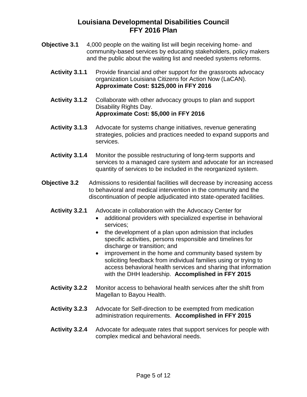- **Objective 3.1** 4,000 people on the waiting list will begin receiving home- and community-based services by educating stakeholders, policy makers and the public about the waiting list and needed systems reforms.
	- Activity 3.1.1 Provide financial and other support for the grassroots advocacy organization Louisiana Citizens for Action Now (LaCAN). **Approximate Cost: \$125,000 in FFY 2016**
	- **Activity 3.1.2** Collaborate with other advocacy groups to plan and support Disability Rights Day. **Approximate Cost: \$5,000 in FFY 2016**
	- **Activity 3.1.3** Advocate for systems change initiatives, revenue generating strategies, policies and practices needed to expand supports and services.
	- **Activity 3.1.4** Monitor the possible restructuring of long-term supports and services to a managed care system and advocate for an increased quantity of services to be included in the reorganized system.
- **Objective 3.2** Admissions to residential facilities will decrease by increasing access to behavioral and medical intervention in the community and the discontinuation of people adjudicated into state-operated facilities.
	- **Activity 3.2.1** Advocate in collaboration with the Advocacy Center for
		- additional providers with specialized expertise in behavioral services;
		- the development of a plan upon admission that includes specific activities, persons responsible and timelines for discharge or transition; and
		- improvement in the home and community based system by soliciting feedback from individual families using or trying to access behavioral health services and sharing that information with the DHH leadership. **Accomplished in FFY 2015**
	- **Activity 3.2.2** Monitor access to behavioral health services after the shift from Magellan to Bayou Health.
	- **Activity 3.2.3** Advocate for Self-direction to be exempted from medication administration requirements. **Accomplished in FFY 2015**
	- **Activity 3.2.4** Advocate for adequate rates that support services for people with complex medical and behavioral needs.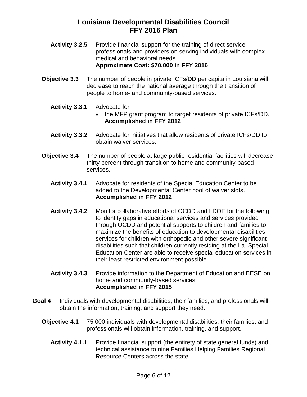- Activity 3.2.5 Provide financial support for the training of direct service professionals and providers on serving individuals with complex medical and behavioral needs. **Approximate Cost: \$70,000 in FFY 2016**
- **Objective 3.3** The number of people in private ICFs/DD per capita in Louisiana will decrease to reach the national average through the transition of people to home- and community-based services.
	- **Activity 3.3.1** Advocate for
		- the MFP grant program to target residents of private ICFs/DD. **Accomplished in FFY 2012**
	- **Activity 3.3.2** Advocate for initiatives that allow residents of private ICFs/DD to obtain waiver services.
- **Objective 3.4** The number of people at large public residential facilities will decrease thirty percent through transition to home and community-based services.
	- **Activity 3.4.1** Advocate for residents of the Special Education Center to be added to the Developmental Center pool of waiver slots. **Accomplished in FFY 2012**
	- **Activity 3.4.2** Monitor collaborative efforts of OCDD and LDOE for the following: to identify gaps in educational services and services provided through OCDD and potential supports to children and families to maximize the benefits of education to developmental disabilities services for children with orthopedic and other severe significant disabilities such that children currently residing at the La. Special Education Center are able to receive special education services in their least restricted environment possible.
	- Activity 3.4.3 Provide information to the Department of Education and BESE on home and community-based services. **Accomplished in FFY 2015**
- **Goal 4** Individuals with developmental disabilities, their families, and professionals will obtain the information, training, and support they need.
	- **Objective 4.1** 75,000 individuals with developmental disabilities, their families, and professionals will obtain information, training, and support.
		- **Activity 4.1.1** Provide financial support (the entirety of state general funds) and technical assistance to nine Families Helping Families Regional Resource Centers across the state.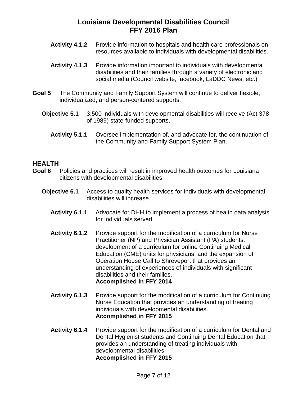- **Activity 4.1.2** Provide information to hospitals and health care professionals on resources available to individuals with developmental disabilities.
- **Activity 4.1.3** Provide information important to individuals with developmental disabilities and their families through a variety of electronic and social media (Council website, facebook, LaDDC News, etc.)
- **Goal 5** The Community and Family Support System will continue to deliver flexible, individualized, and person-centered supports.
	- **Objective 5.1** 3,500 individuals with developmental disabilities will receive (Act 378 of 1989) state-funded supports.
		- **Activity 5.1.1** Oversee implementation of, and advocate for, the continuation of the Community and Family Support System Plan.

#### **HEALTH**

- **Goal 6** Policies and practices will result in improved health outcomes for Louisiana citizens with developmental disabilities.
	- **Objective 6.1** Access to quality health services for individuals with developmental disabilities will increase.
		- **Activity 6.1.1** Advocate for DHH to implement a process of health data analysis for individuals served.
		- **Activity 6.1.2** Provide support for the modification of a curriculum for Nurse Practitioner (NP) and Physician Assistant (PA) students, development of a curriculum for online Continuing Medical Education (CME) units for physicians, and the expansion of Operation House Call to Shreveport that provides an understanding of experiences of individuals with significant disabilities and their families. **Accomplished in FFY 2014**
		- **Activity 6.1.3** Provide support for the modification of a curriculum for Continuing Nurse Education that provides an understanding of treating individuals with developmental disabilities. **Accomplished in FFY 2015**
		- **Activity 6.1.4** Provide support for the modification of a curriculum for Dental and Dental Hygienist students and Continuing Dental Education that provides an understanding of treating individuals with developmental disabilities. **Accomplished in FFY 2015**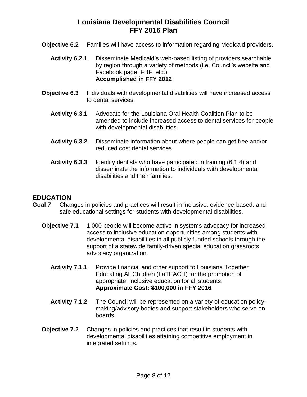- **Objective 6.2** Families will have access to information regarding Medicaid providers.
	- **Activity 6.2.1** Disseminate Medicaid's web-based listing of providers searchable by region through a variety of methods (i.e. Council's website and Facebook page, FHF, etc.). **Accomplished in FFY 2012**
- **Objective 6.3** Individuals with developmental disabilities will have increased access to dental services.
	- **Activity 6.3.1** Advocate for the Louisiana Oral Health Coalition Plan to be amended to include increased access to dental services for people with developmental disabilities.
	- **Activity 6.3.2** Disseminate information about where people can get free and/or reduced cost dental services.
	- **Activity 6.3.3** Identify dentists who have participated in training (6.1.4) and disseminate the information to individuals with developmental disabilities and their families.

#### **EDUCATION**

- **Goal 7** Changes in policies and practices will result in inclusive, evidence-based, and safe educational settings for students with developmental disabilities.
	- **Objective 7.1** 1,000 people will become active in systems advocacy for increased access to inclusive education opportunities among students with developmental disabilities in all publicly funded schools through the support of a statewide family-driven special education grassroots advocacy organization.
		- **Activity 7.1.1** Provide financial and other support to Louisiana Together Educating All Children (LaTEACH) for the promotion of appropriate, inclusive education for all students. **Approximate Cost: \$100,000 in FFY 2016**
		- **Activity 7.1.2** The Council will be represented on a variety of education policymaking/advisory bodies and support stakeholders who serve on boards.
	- **Objective 7.2** Changes in policies and practices that result in students with developmental disabilities attaining competitive employment in integrated settings.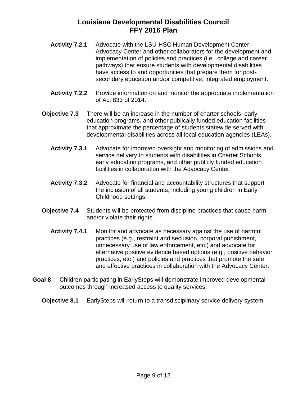- **Activity 7.2.1** Advocate with the LSU-HSC Human Development Center, Advocacy Center and other collaborators for the development and implementation of policies and practices (i.e., college and career pathways) that ensure students with developmental disabilities have access to and opportunities that prepare them for postsecondary education and/or competitive, integrated employment.
- **Activity 7.2.2** Provide information on and monitor the appropriate implementation of Act 833 of 2014.
- **Objective 7.3** There will be an increase in the number of charter schools, early education programs, and other publically funded education facilities that approximate the percentage of students statewide served with developmental disabilities across all local education agencies (LEAs).
	- **Activity 7.3.1** Advocate for improved oversight and monitoring of admissions and service delivery to students with disabilities in Charter Schools, early education programs, and other publicly funded education facilities in collaboration with the Advocacy Center.
	- **Activity 7.3.2** Advocate for financial and accountability structures that support the inclusion of all students, including young children in Early Childhood settings.
- **Objective 7.4** Students will be protected from discipline practices that cause harm and/or violate their rights.
	- **Activity 7.4.1** Monitor and advocate as necessary against the use of harmful practices (e.g., restraint and seclusion, corporal punishment, unnecessary use of law enforcement, etc.) and advocate for alternative positive evidence based options (e.g., positive behavior practices, etc.) and policies and practices that promote the safe and effective practices in collaboration with the Advocacy Center.
- **Goal 8** Children participating in EarlySteps will demonstrate improved developmental outcomes through increased access to quality services.
	- **Objective 8.1** EarlySteps will return to a transdisciplinary service delivery system.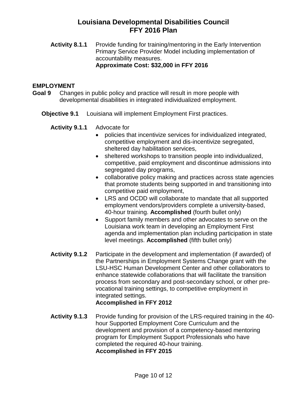**Activity 8.1.1** Provide funding for training/mentoring in the Early Intervention Primary Service Provider Model including implementation of accountability measures. **Approximate Cost: \$32,000 in FFY 2016**

#### **EMPLOYMENT**

- **Goal 9** Changes in public policy and practice will result in more people with developmental disabilities in integrated individualized employment.
	- **Objective 9.1** Louisiana will implement Employment First practices.
		- **Activity 9.1.1** Advocate for
			- policies that incentivize services for individualized integrated, competitive employment and dis-incentivize segregated, sheltered day habilitation services,
			- sheltered workshops to transition people into individualized, competitive, paid employment and discontinue admissions into segregated day programs,
			- collaborative policy making and practices across state agencies that promote students being supported in and transitioning into competitive paid employment,
			- LRS and OCDD will collaborate to mandate that all supported employment vendors/providers complete a university-based, 40-hour training. **Accomplished** (fourth bullet only)
			- Support family members and other advocates to serve on the Louisiana work team in developing an Employment First agenda and implementation plan including participation in state level meetings. **Accomplished** (fifth bullet only)
		- **Activity 9.1.2** Participate in the development and implementation (if awarded) of the Partnerships in Employment Systems Change grant with the LSU-HSC Human Development Center and other collaborators to enhance statewide collaborations that will facilitate the transition process from secondary and post-secondary school, or other prevocational training settings, to competitive employment in integrated settings. **Accomplished in FFY 2012**
		- **Activity 9.1.3** Provide funding for provision of the LRS-required training in the 40 hour Supported Employment Core Curriculum and the development and provision of a competency-based mentoring program for Employment Support Professionals who have completed the required 40-hour training. **Accomplished in FFY 2015**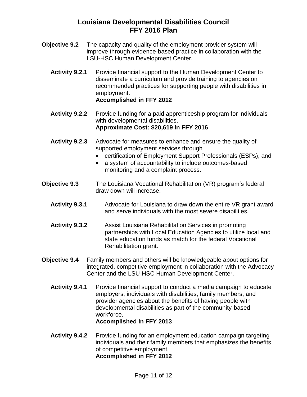- **Objective 9.2** The capacity and quality of the employment provider system will improve through evidence-based practice in collaboration with the LSU-HSC Human Development Center.
	- **Activity 9.2.1** Provide financial support to the Human Development Center to disseminate a curriculum and provide training to agencies on recommended practices for supporting people with disabilities in employment. **Accomplished in FFY 2012**
	- **Activity 9.2.2** Provide funding for a paid apprenticeship program for individuals with developmental disabilities. **Approximate Cost: \$20,619 in FFY 2016**
	- **Activity 9.2.3** Advocate for measures to enhance and ensure the quality of supported employment services through
		- certification of Employment Support Professionals (ESPs), and
		- a system of accountability to include outcomes-based monitoring and a complaint process.
- **Objective 9.3** The Louisiana Vocational Rehabilitation (VR) program's federal draw down will increase.
	- **Activity 9.3.1** Advocate for Louisiana to draw down the entire VR grant award and serve individuals with the most severe disabilities.
	- **Activity 9.3.2** Assist Louisiana Rehabilitation Services in promoting partnerships with Local Education Agencies to utilize local and state education funds as match for the federal Vocational Rehabilitation grant.
- **Objective 9.4** Family members and others will be knowledgeable about options for integrated, competitive employment in collaboration with the Advocacy Center and the LSU-HSC Human Development Center.
	- **Activity 9.4.1** Provide financial support to conduct a media campaign to educate employers, individuals with disabilities, family members, and provider agencies about the benefits of having people with developmental disabilities as part of the community-based workforce.

#### **Accomplished in FFY 2013**

**Activity 9.4.2** Provide funding for an employment education campaign targeting individuals and their family members that emphasizes the benefits of competitive employment.

## **Accomplished in FFY 2012**